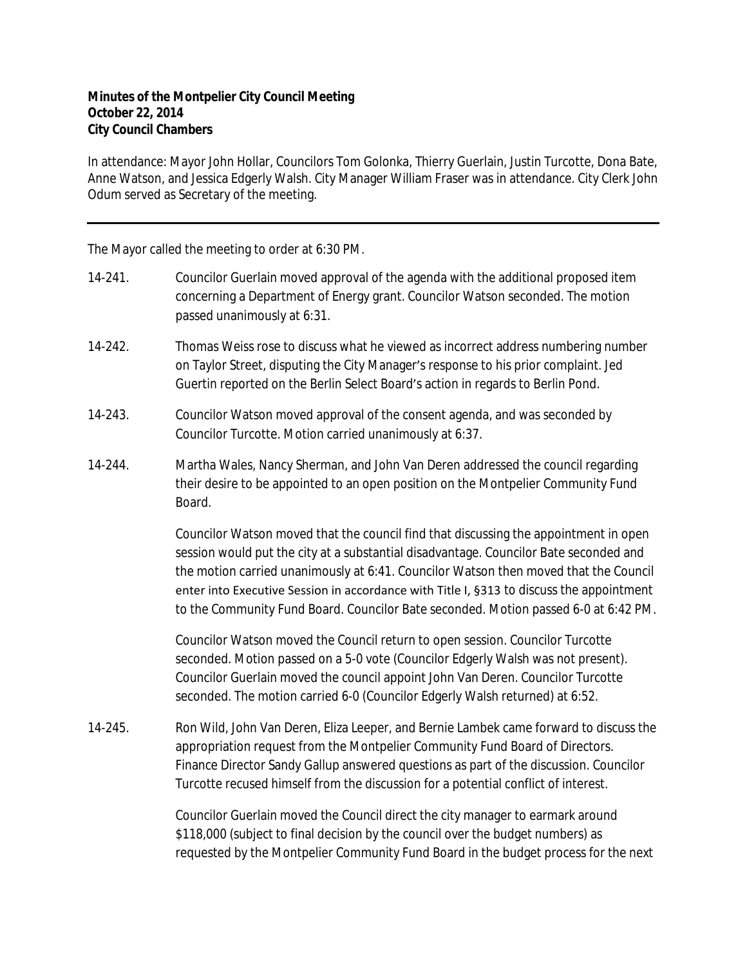## **Minutes of the Montpelier City Council Meeting October 22, 2014 City Council Chambers**

In attendance: Mayor John Hollar, Councilors Tom Golonka, Thierry Guerlain, Justin Turcotte, Dona Bate, Anne Watson, and Jessica Edgerly Walsh. City Manager William Fraser was in attendance. City Clerk John Odum served as Secretary of the meeting.

The Mayor called the meeting to order at 6:30 PM.

- 14-241. Councilor Guerlain moved approval of the agenda with the additional proposed item concerning a Department of Energy grant. Councilor Watson seconded. The motion passed unanimously at 6:31.
- 14-242. Thomas Weiss rose to discuss what he viewed as incorrect address numbering number on Taylor Street, disputing the City Manager's response to his prior complaint. Jed Guertin reported on the Berlin Select Board's action in regards to Berlin Pond.
- 14-243. Councilor Watson moved approval of the consent agenda, and was seconded by Councilor Turcotte. Motion carried unanimously at 6:37.
- 14-244. Martha Wales, Nancy Sherman, and John Van Deren addressed the council regarding their desire to be appointed to an open position on the Montpelier Community Fund Board.

Councilor Watson moved that the council find that discussing the appointment in open session would put the city at a substantial disadvantage. Councilor Bate seconded and the motion carried unanimously at 6:41. Councilor Watson then moved that the Council enter into Executive Session in accordance with Title I, §313 to discuss the appointment to the Community Fund Board. Councilor Bate seconded. Motion passed 6-0 at 6:42 PM.

Councilor Watson moved the Council return to open session. Councilor Turcotte seconded. Motion passed on a 5-0 vote (Councilor Edgerly Walsh was not present). Councilor Guerlain moved the council appoint John Van Deren. Councilor Turcotte seconded. The motion carried 6-0 (Councilor Edgerly Walsh returned) at 6:52.

14-245. Ron Wild, John Van Deren, Eliza Leeper, and Bernie Lambek came forward to discuss the appropriation request from the Montpelier Community Fund Board of Directors. Finance Director Sandy Gallup answered questions as part of the discussion. Councilor Turcotte recused himself from the discussion for a potential conflict of interest.

> Councilor Guerlain moved the Council direct the city manager to earmark around \$118,000 (subject to final decision by the council over the budget numbers) as requested by the Montpelier Community Fund Board in the budget process for the next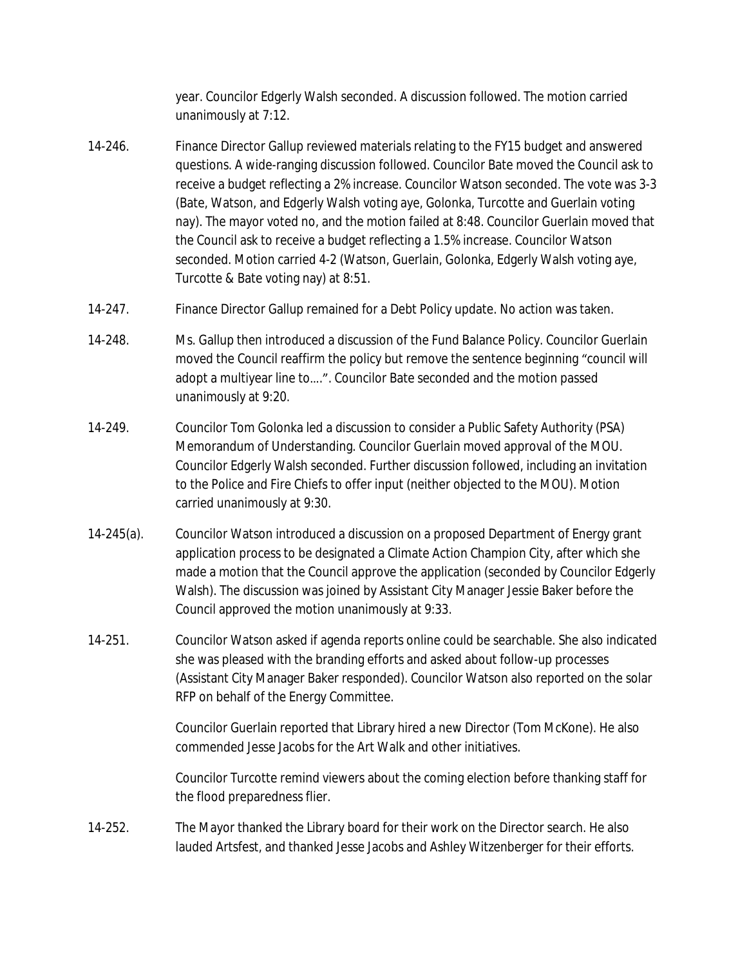year. Councilor Edgerly Walsh seconded. A discussion followed. The motion carried unanimously at 7:12.

- 14-246. Finance Director Gallup reviewed materials relating to the FY15 budget and answered questions. A wide-ranging discussion followed. Councilor Bate moved the Council ask to receive a budget reflecting a 2% increase. Councilor Watson seconded. The vote was 3-3 (Bate, Watson, and Edgerly Walsh voting aye, Golonka, Turcotte and Guerlain voting nay). The mayor voted no, and the motion failed at 8:48. Councilor Guerlain moved that the Council ask to receive a budget reflecting a 1.5% increase. Councilor Watson seconded. Motion carried 4-2 (Watson, Guerlain, Golonka, Edgerly Walsh voting aye, Turcotte & Bate voting nay) at 8:51.
- 14-247. Finance Director Gallup remained for a Debt Policy update. No action was taken.
- 14-248. Ms. Gallup then introduced a discussion of the Fund Balance Policy. Councilor Guerlain moved the Council reaffirm the policy but remove the sentence beginning "council will adopt a multiyear line to….". Councilor Bate seconded and the motion passed unanimously at 9:20.
- 14-249. Councilor Tom Golonka led a discussion to consider a Public Safety Authority (PSA) Memorandum of Understanding. Councilor Guerlain moved approval of the MOU. Councilor Edgerly Walsh seconded. Further discussion followed, including an invitation to the Police and Fire Chiefs to offer input (neither objected to the MOU). Motion carried unanimously at 9:30.
- 14-245(a). Councilor Watson introduced a discussion on a proposed Department of Energy grant application process to be designated a Climate Action Champion City, after which she made a motion that the Council approve the application (seconded by Councilor Edgerly Walsh). The discussion was joined by Assistant City Manager Jessie Baker before the Council approved the motion unanimously at 9:33.
- 14-251. Councilor Watson asked if agenda reports online could be searchable. She also indicated she was pleased with the branding efforts and asked about follow-up processes (Assistant City Manager Baker responded). Councilor Watson also reported on the solar RFP on behalf of the Energy Committee.

Councilor Guerlain reported that Library hired a new Director (Tom McKone). He also commended Jesse Jacobs for the Art Walk and other initiatives.

Councilor Turcotte remind viewers about the coming election before thanking staff for the flood preparedness flier.

14-252. The Mayor thanked the Library board for their work on the Director search. He also lauded Artsfest, and thanked Jesse Jacobs and Ashley Witzenberger for their efforts.